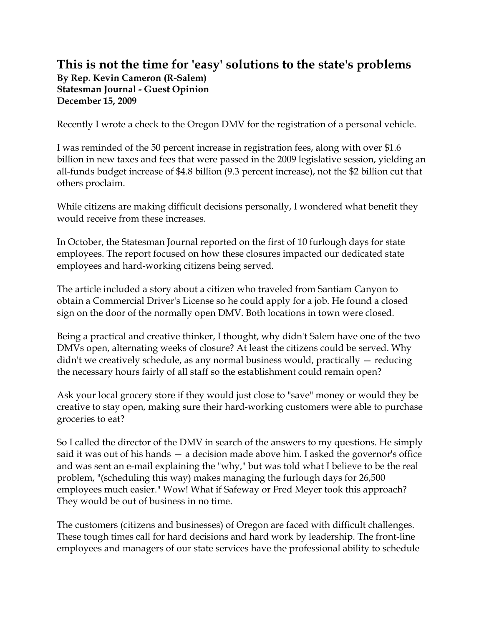## **This is not the time for 'easy' solutions to the state's problems By Rep. Kevin Cameron (R-Salem) Statesman Journal - Guest Opinion December 15, 2009**

Recently I wrote a check to the Oregon DMV for the registration of a personal vehicle.

I was reminded of the 50 percent increase in registration fees, along with over \$1.6 billion in new taxes and fees that were passed in the 2009 legislative session, yielding an all-funds budget increase of \$4.8 billion (9.3 percent increase), not the \$2 billion cut that others proclaim.

While citizens are making difficult decisions personally, I wondered what benefit they would receive from these increases.

In October, the Statesman Journal reported on the first of 10 furlough days for state employees. The report focused on how these closures impacted our dedicated state employees and hard-working citizens being served.

The article included a story about a citizen who traveled from Santiam Canyon to obtain a Commercial Driver's License so he could apply for a job. He found a closed sign on the door of the normally open DMV. Both locations in town were closed.

Being a practical and creative thinker, I thought, why didn't Salem have one of the two DMVs open, alternating weeks of closure? At least the citizens could be served. Why didn't we creatively schedule, as any normal business would, practically — reducing the necessary hours fairly of all staff so the establishment could remain open?

Ask your local grocery store if they would just close to "save" money or would they be creative to stay open, making sure their hard-working customers were able to purchase groceries to eat?

So I called the director of the DMV in search of the answers to my questions. He simply said it was out of his hands — a decision made above him. I asked the governor's office and was sent an e-mail explaining the "why," but was told what I believe to be the real problem, "(scheduling this way) makes managing the furlough days for 26,500 employees much easier." Wow! What if Safeway or Fred Meyer took this approach? They would be out of business in no time.

The customers (citizens and businesses) of Oregon are faced with difficult challenges. These tough times call for hard decisions and hard work by leadership. The front-line employees and managers of our state services have the professional ability to schedule